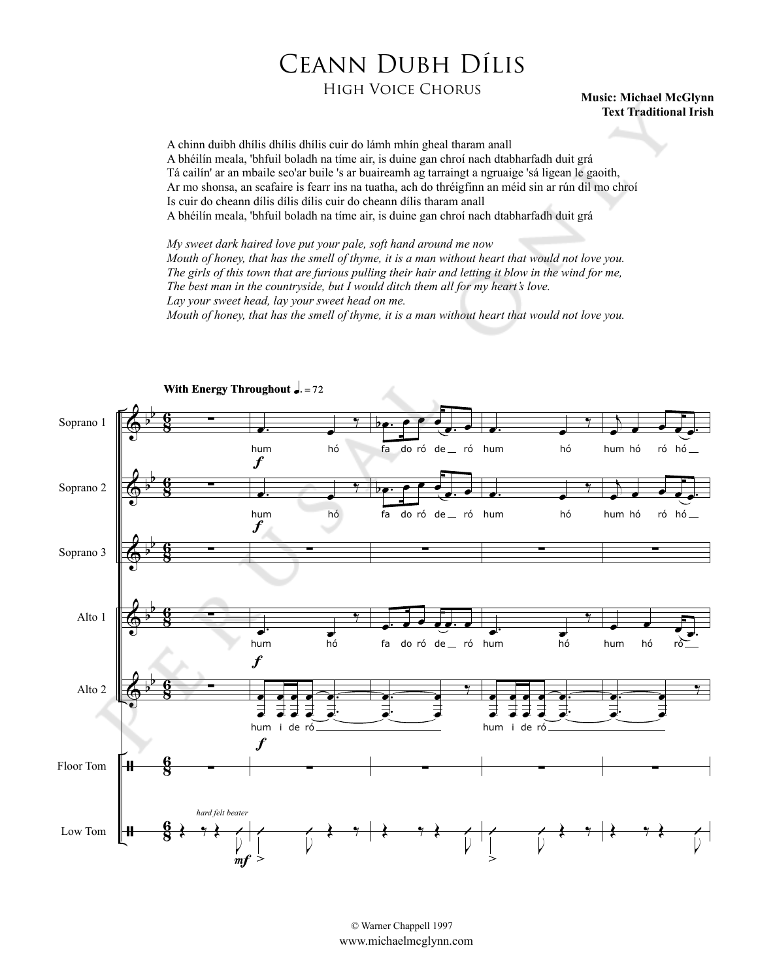## Ceann Dubh Dílis

## High Voice Chorus **Music: Michael McGlynn**

## **Text Traditional Irish**

A chinn duibh dhílis dhílis dhílis cuir do lámh mhín gheal tharam anall A bhéilín meala, 'bhfuil boladh na tíme air, is duine gan chroí nach dtabharfadh duit grá Tá cailín' ar an mbaile seo'ar buile 's ar buaireamh ag tarraingt a ngruaige 'sá ligean le gaoith, Ar mo shonsa, an scafaire is fearr ins na tuatha, ach do thréigfinn an méid sin ar rún dil mo chroí Is cuir do cheann dílis dílis dílis cuir do cheann dílis tharam anall A bhéilín meala, 'bhfuil boladh na tíme air, is duine gan chroí nach dtabharfadh duit grá

*My sweet dark haired love put your pale, soft hand around me now Mouth of honey, that has the smell of thyme, it is a man without heart that would not love you. The girls of this town that are furious pulling their hair and letting it blow in the wind for me, The best man in the countryside, but I would ditch them all for my heart's love. Lay your sweet head, lay your sweet head on me.*

*Mouth of honey, that has the smell of thyme, it is a man without heart that would not love you.*



© Warner Chappell 1997 www.michaelmcglynn.com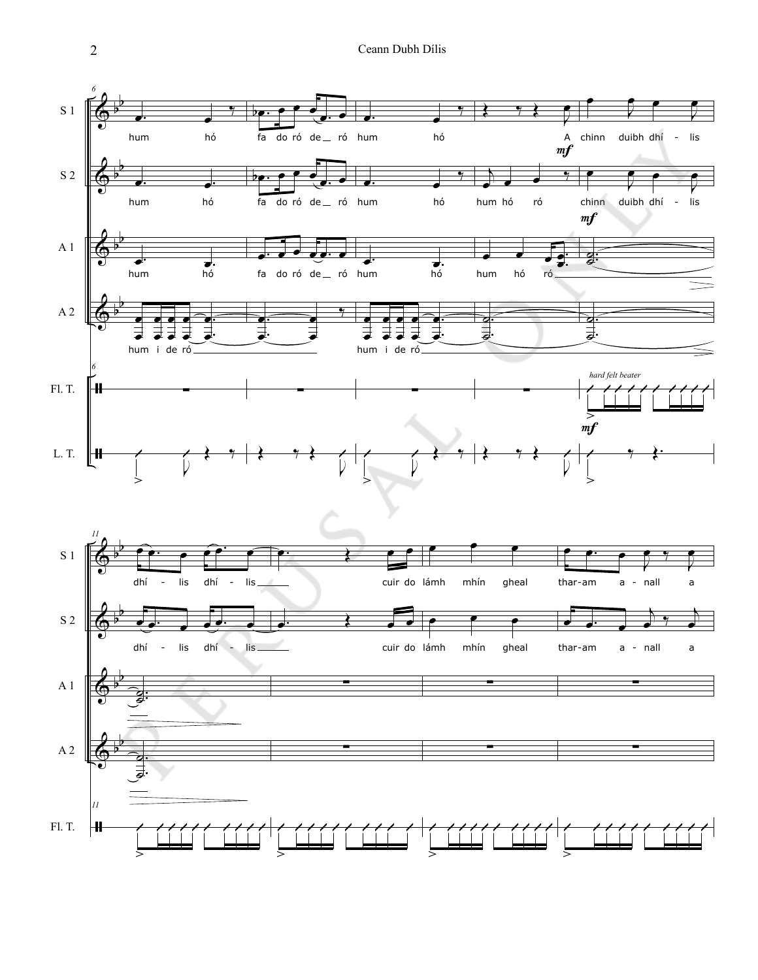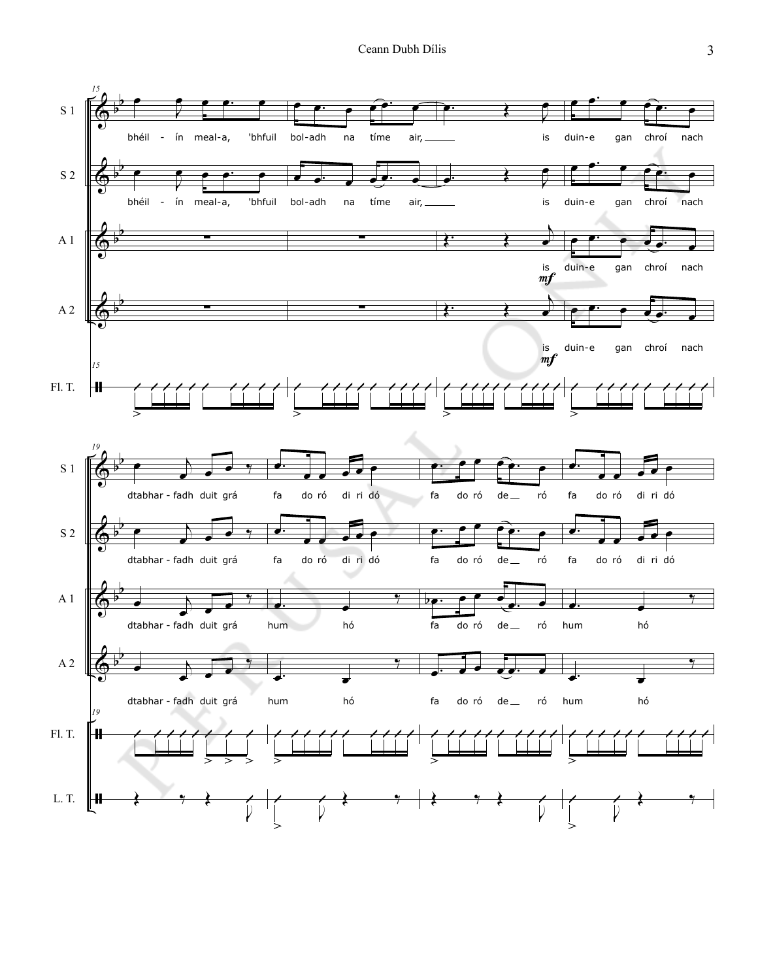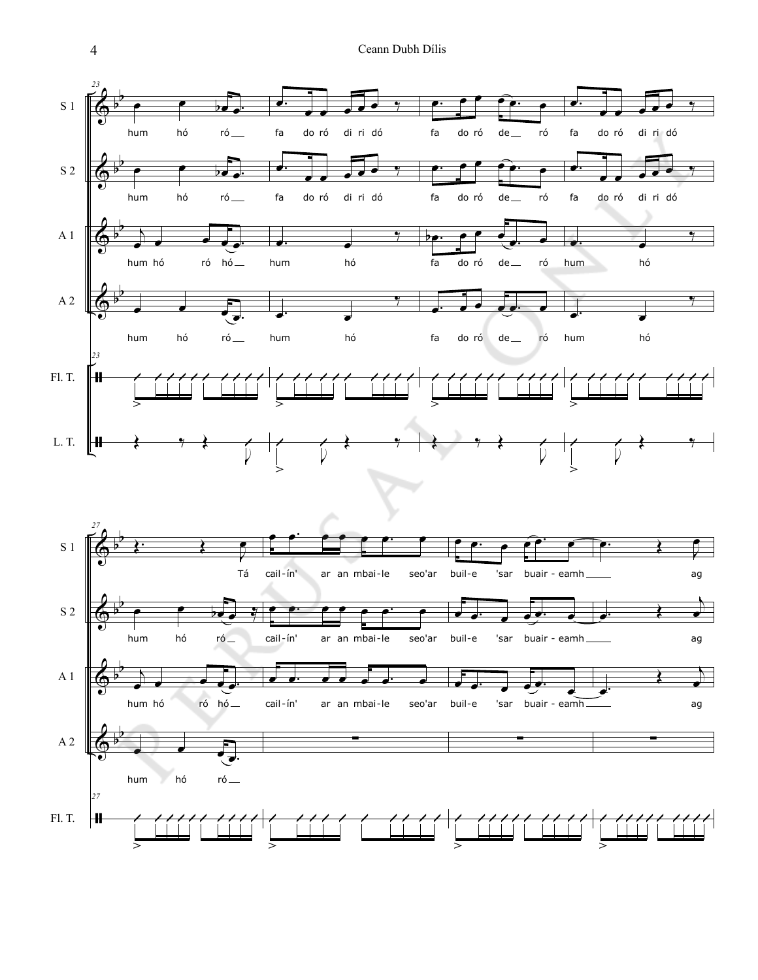